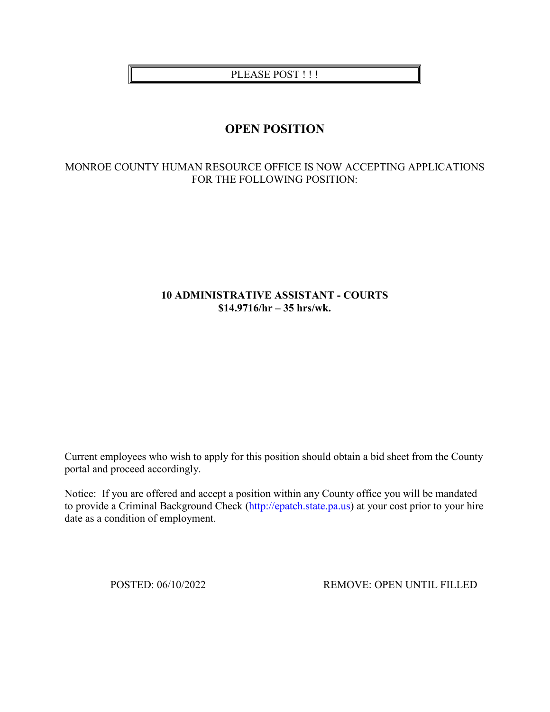PLEASE POST !!!

# **OPEN POSITION**

## MONROE COUNTY HUMAN RESOURCE OFFICE IS NOW ACCEPTING APPLICATIONS FOR THE FOLLOWING POSITION:

## **10 ADMINISTRATIVE ASSISTANT - COURTS \$14.9716/hr – 35 hrs/wk.**

Current employees who wish to apply for this position should obtain a bid sheet from the County portal and proceed accordingly.

Notice: If you are offered and accept a position within any County office you will be mandated to provide a Criminal Background Check [\(http://epatch.state.pa.us\)](http://epatch.state.pa.us/) at your cost prior to your hire date as a condition of employment.

POSTED: 06/10/2022 REMOVE: OPEN UNTIL FILLED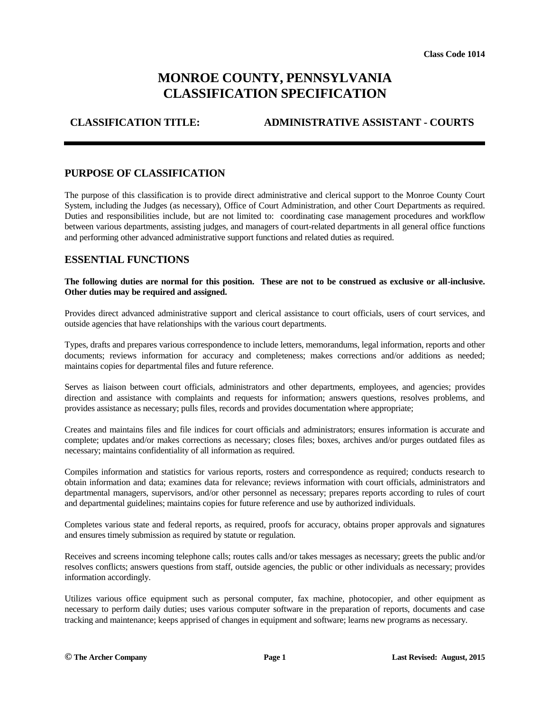# **MONROE COUNTY, PENNSYLVANIA CLASSIFICATION SPECIFICATION**

# **CLASSIFICATION TITLE: ADMINISTRATIVE ASSISTANT - COURTS**

#### **PURPOSE OF CLASSIFICATION**

The purpose of this classification is to provide direct administrative and clerical support to the Monroe County Court System, including the Judges (as necessary), Office of Court Administration, and other Court Departments as required. Duties and responsibilities include, but are not limited to: coordinating case management procedures and workflow between various departments, assisting judges, and managers of court-related departments in all general office functions and performing other advanced administrative support functions and related duties as required.

#### **ESSENTIAL FUNCTIONS**

#### **The following duties are normal for this position. These are not to be construed as exclusive or all-inclusive. Other duties may be required and assigned.**

Provides direct advanced administrative support and clerical assistance to court officials, users of court services, and outside agencies that have relationships with the various court departments.

Types, drafts and prepares various correspondence to include letters, memorandums, legal information, reports and other documents; reviews information for accuracy and completeness; makes corrections and/or additions as needed; maintains copies for departmental files and future reference.

Serves as liaison between court officials, administrators and other departments, employees, and agencies; provides direction and assistance with complaints and requests for information; answers questions, resolves problems, and provides assistance as necessary; pulls files, records and provides documentation where appropriate;

Creates and maintains files and file indices for court officials and administrators; ensures information is accurate and complete; updates and/or makes corrections as necessary; closes files; boxes, archives and/or purges outdated files as necessary; maintains confidentiality of all information as required.

Compiles information and statistics for various reports, rosters and correspondence as required; conducts research to obtain information and data; examines data for relevance; reviews information with court officials, administrators and departmental managers, supervisors, and/or other personnel as necessary; prepares reports according to rules of court and departmental guidelines; maintains copies for future reference and use by authorized individuals.

Completes various state and federal reports, as required, proofs for accuracy, obtains proper approvals and signatures and ensures timely submission as required by statute or regulation.

Receives and screens incoming telephone calls; routes calls and/or takes messages as necessary; greets the public and/or resolves conflicts; answers questions from staff, outside agencies, the public or other individuals as necessary; provides information accordingly.

Utilizes various office equipment such as personal computer, fax machine, photocopier, and other equipment as necessary to perform daily duties; uses various computer software in the preparation of reports, documents and case tracking and maintenance; keeps apprised of changes in equipment and software; learns new programs as necessary.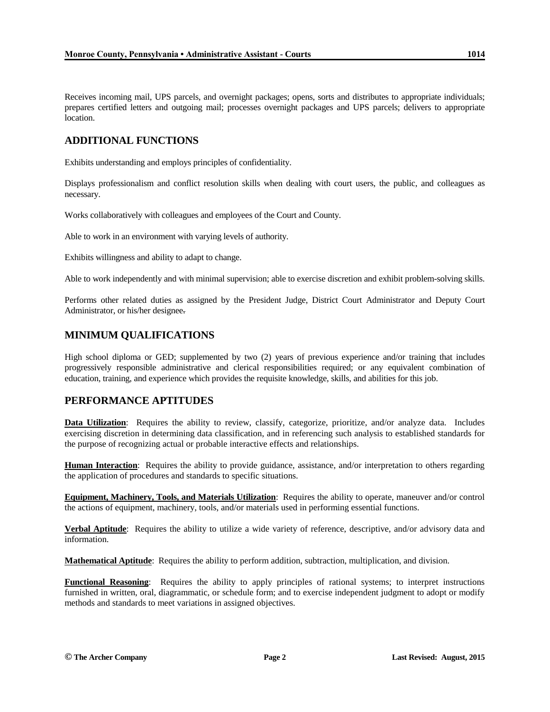Receives incoming mail, UPS parcels, and overnight packages; opens, sorts and distributes to appropriate individuals; prepares certified letters and outgoing mail; processes overnight packages and UPS parcels; delivers to appropriate location.

## **ADDITIONAL FUNCTIONS**

Exhibits understanding and employs principles of confidentiality.

Displays professionalism and conflict resolution skills when dealing with court users, the public, and colleagues as necessary.

Works collaboratively with colleagues and employees of the Court and County.

Able to work in an environment with varying levels of authority.

Exhibits willingness and ability to adapt to change.

Able to work independently and with minimal supervision; able to exercise discretion and exhibit problem-solving skills.

Performs other related duties as assigned by the President Judge, District Court Administrator and Deputy Court Administrator, or his/her designee.

## **MINIMUM QUALIFICATIONS**

High school diploma or GED; supplemented by two (2) years of previous experience and/or training that includes progressively responsible administrative and clerical responsibilities required; or any equivalent combination of education, training, and experience which provides the requisite knowledge, skills, and abilities for this job.

## **PERFORMANCE APTITUDES**

**Data Utilization**: Requires the ability to review, classify, categorize, prioritize, and/or analyze data. Includes exercising discretion in determining data classification, and in referencing such analysis to established standards for the purpose of recognizing actual or probable interactive effects and relationships.

**Human Interaction**: Requires the ability to provide guidance, assistance, and/or interpretation to others regarding the application of procedures and standards to specific situations.

**Equipment, Machinery, Tools, and Materials Utilization**: Requires the ability to operate, maneuver and/or control the actions of equipment, machinery, tools, and/or materials used in performing essential functions.

**Verbal Aptitude**: Requires the ability to utilize a wide variety of reference, descriptive, and/or advisory data and information.

**Mathematical Aptitude**: Requires the ability to perform addition, subtraction, multiplication, and division.

**Functional Reasoning**: Requires the ability to apply principles of rational systems; to interpret instructions furnished in written, oral, diagrammatic, or schedule form; and to exercise independent judgment to adopt or modify methods and standards to meet variations in assigned objectives.